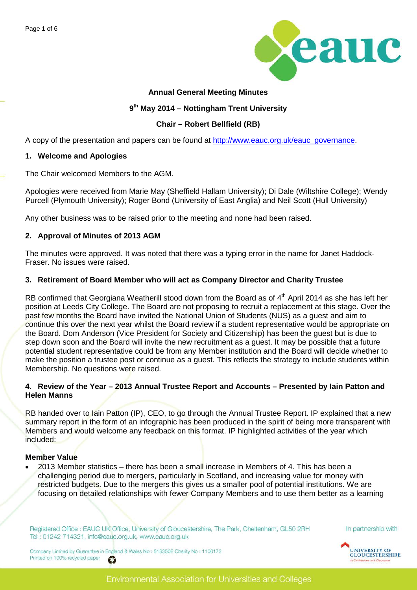

### **Annual General Meeting Minutes**

### **9th May 2014 – Nottingham Trent University**

## **Chair – Robert Bellfield (RB)**

A copy of the presentation and papers can be found at [http://www.eauc.org.uk/eauc\\_governance.](http://www.eauc.org.uk/eauc_governance)

#### **1. Welcome and Apologies**

The Chair welcomed Members to the AGM.

Apologies were received from Marie May (Sheffield Hallam University); Di Dale (Wiltshire College); Wendy Purcell (Plymouth University); Roger Bond (University of East Anglia) and Neil Scott (Hull University)

Any other business was to be raised prior to the meeting and none had been raised.

### **2. Approval of Minutes of 2013 AGM**

The minutes were approved. It was noted that there was a typing error in the name for Janet Haddock-Fraser. No issues were raised.

## **3. Retirement of Board Member who will act as Company Director and Charity Trustee**

RB confirmed that Georgiana Weatherill stood down from the Board as of 4<sup>th</sup> April 2014 as she has left her position at Leeds City College. The Board are not proposing to recruit a replacement at this stage. Over the past few months the Board have invited the National Union of Students (NUS) as a guest and aim to continue this over the next year whilst the Board review if a student representative would be appropriate on the Board. Dom Anderson (Vice President for Society and Citizenship) has been the guest but is due to step down soon and the Board will invite the new recruitment as a guest. It may be possible that a future potential student representative could be from any Member institution and the Board will decide whether to make the position a trustee post or continue as a guest. This reflects the strategy to include students within Membership. No questions were raised.

### **4. Review of the Year – 2013 Annual Trustee Report and Accounts – Presented by Iain Patton and Helen Manns**

RB handed over to Iain Patton (IP), CEO, to go through the Annual Trustee Report. IP explained that a new summary report in the form of an infographic has been produced in the spirit of being more transparent with Members and would welcome any feedback on this format. IP highlighted activities of the year which included:

#### **Member Value**

• 2013 Member statistics – there has been a small increase in Members of 4. This has been a challenging period due to mergers, particularly in Scotland, and increasing value for money with restricted budgets. Due to the mergers this gives us a smaller pool of potential institutions. We are focusing on detailed relationships with fewer Company Members and to use them better as a learning

Registered Office : EAUC UK Office, University of Gloucestershire, The Park, Cheltenham, GL50 2RH Tel: 01242 714321, info@eauc.org.uk, www.eauc.org.uk

In partnership with

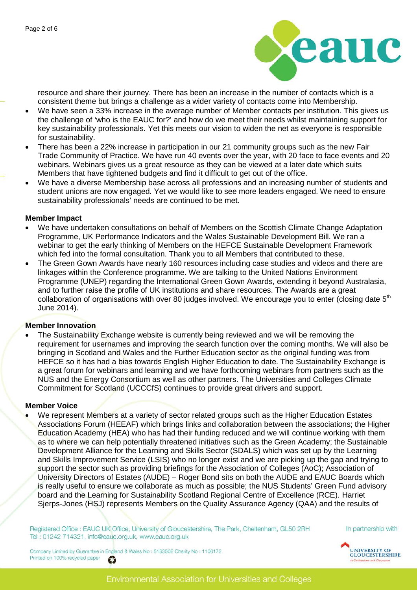

resource and share their journey. There has been an increase in the number of contacts which is a consistent theme but brings a challenge as a wider variety of contacts come into Membership.

- We have seen a 33% increase in the average number of Member contacts per institution. This gives us the challenge of 'who is the EAUC for?' and how do we meet their needs whilst maintaining support for key sustainability professionals. Yet this meets our vision to widen the net as everyone is responsible for sustainability.
- There has been a 22% increase in participation in our 21 community groups such as the new Fair Trade Community of Practice. We have run 40 events over the year, with 20 face to face events and 20 webinars. Webinars gives us a great resource as they can be viewed at a later date which suits Members that have tightened budgets and find it difficult to get out of the office.
- We have a diverse Membership base across all professions and an increasing number of students and student unions are now engaged. Yet we would like to see more leaders engaged. We need to ensure sustainability professionals' needs are continued to be met.

#### **Member Impact**

- We have undertaken consultations on behalf of Members on the Scottish Climate Change Adaptation Programme, UK Performance Indicators and the Wales Sustainable Development Bill. We ran a webinar to get the early thinking of Members on the HEFCE Sustainable Development Framework which fed into the formal consultation. Thank you to all Members that contributed to these.
- The Green Gown Awards have nearly 160 resources including case studies and videos and there are linkages within the Conference programme. We are talking to the United Nations Environment Programme (UNEP) regarding the International Green Gown Awards, extending it beyond Australasia, and to further raise the profile of UK institutions and share resources. The Awards are a great collaboration of organisations with over 80 judges involved. We encourage you to enter (closing date  $5<sup>th</sup>$ June 2014).

## **Member Innovation**

The Sustainability Exchange website is currently being reviewed and we will be removing the requirement for usernames and improving the search function over the coming months. We will also be bringing in Scotland and Wales and the Further Education sector as the original funding was from HEFCE so it has had a bias towards English Higher Education to date. The Sustainability Exchange is a great forum for webinars and learning and we have forthcoming webinars from partners such as the NUS and the Energy Consortium as well as other partners. The Universities and Colleges Climate Commitment for Scotland (UCCCfS) continues to provide great drivers and support.

## **Member Voice**

We represent Members at a variety of sector related groups such as the Higher Education Estates Associations Forum (HEEAF) which brings links and collaboration between the associations; the Higher Education Academy (HEA) who has had their funding reduced and we will continue working with them as to where we can help potentially threatened initiatives such as the Green Academy; the Sustainable Development Alliance for the Learning and Skills Sector (SDALS) which was set up by the Learning and Skills Improvement Service (LSIS) who no longer exist and we are picking up the gap and trying to support the sector such as providing briefings for the Association of Colleges (AoC); Association of University Directors of Estates (AUDE) – Roger Bond sits on both the AUDE and EAUC Boards which is really useful to ensure we collaborate as much as possible; the NUS Students' Green Fund advisory board and the Learning for Sustainability Scotland Regional Centre of Excellence (RCE). Harriet Sjerps-Jones (HSJ) represents Members on the Quality Assurance Agency (QAA) and the results of

Registered Office : EAUC UK Office, University of Gloucestershire, The Park, Cheltenham, GL50 2RH Tel: 01242 714321, info@eauc.org.uk, www.eauc.org.uk

In partnership with

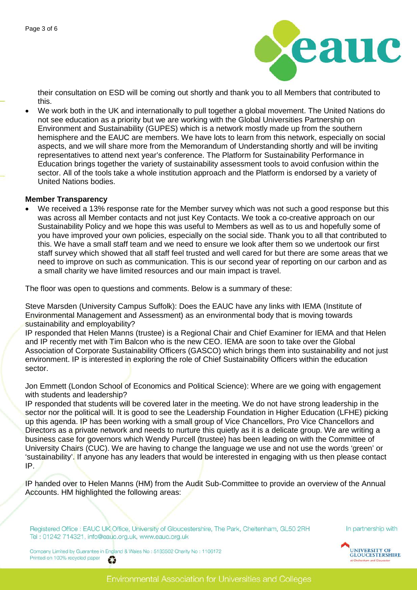

their consultation on ESD will be coming out shortly and thank you to all Members that contributed to this.

• We work both in the UK and internationally to pull together a global movement. The United Nations do not see education as a priority but we are working with the Global Universities Partnership on Environment and Sustainability (GUPES) which is a network mostly made up from the southern hemisphere and the EAUC are members. We have lots to learn from this network, especially on social aspects, and we will share more from the Memorandum of Understanding shortly and will be inviting representatives to attend next year's conference. The Platform for Sustainability Performance in Education brings together the variety of sustainability assessment tools to avoid confusion within the sector. All of the tools take a whole institution approach and the Platform is endorsed by a variety of United Nations bodies.

#### **Member Transparency**

We received a 13% response rate for the Member survey which was not such a good response but this was across all Member contacts and not just Key Contacts. We took a co-creative approach on our Sustainability Policy and we hope this was useful to Members as well as to us and hopefully some of you have improved your own policies, especially on the social side. Thank you to all that contributed to this. We have a small staff team and we need to ensure we look after them so we undertook our first staff survey which showed that all staff feel trusted and well cared for but there are some areas that we need to improve on such as communication. This is our second year of reporting on our carbon and as a small charity we have limited resources and our main impact is travel.

The floor was open to questions and comments. Below is a summary of these:

Steve Marsden (University Campus Suffolk): Does the EAUC have any links with IEMA (Institute of Environmental Management and Assessment) as an environmental body that is moving towards sustainability and employability?

IP responded that Helen Manns (trustee) is a Regional Chair and Chief Examiner for IEMA and that Helen and IP recently met with Tim Balcon who is the new CEO. IEMA are soon to take over the Global Association of Corporate Sustainability Officers (GASCO) which brings them into sustainability and not just environment. IP is interested in exploring the role of Chief Sustainability Officers within the education sector.

Jon Emmett (London School of Economics and Political Science): Where are we going with engagement with students and leadership?

IP responded that students will be covered later in the meeting. We do not have strong leadership in the sector nor the political will. It is good to see the Leadership Foundation in Higher Education (LFHE) picking up this agenda. IP has been working with a small group of Vice Chancellors, Pro Vice Chancellors and Directors as a private network and needs to nurture this quietly as it is a delicate group. We are writing a business case for governors which Wendy Purcell (trustee) has been leading on with the Committee of University Chairs (CUC). We are having to change the language we use and not use the words 'green' or 'sustainability'. If anyone has any leaders that would be interested in engaging with us then please contact IP.

IP handed over to Helen Manns (HM) from the Audit Sub-Committee to provide an overview of the Annual Accounts. HM highlighted the following areas:

Registered Office : EAUC UK Office, University of Gloucestershire, The Park, Cheltenham, GL50 2RH Tel: 01242 714321, info@eauc.org.uk, www.eauc.org.uk

In partnership with

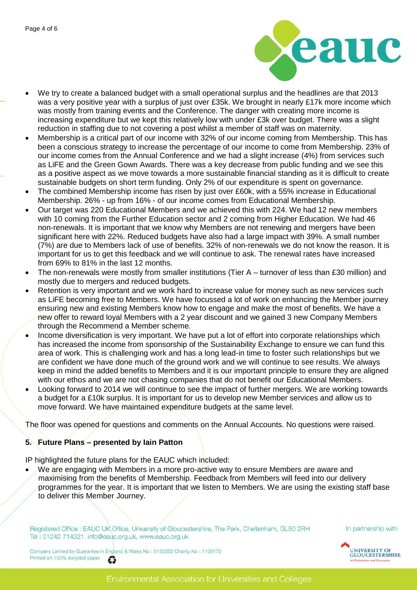

- We try to create a balanced budget with a small operational surplus and the headlines are that 2013 was a very positive year with a surplus of just over £35k. We brought in nearly £17k more income which was mostly from training events and the Conference. The danger with creating more income is increasing expenditure but we kept this relatively low with under £3k over budget. There was a slight reduction in staffing due to not covering a post whilst a member of staff was on maternity.
- Membership is a critical part of our income with 32% of our income coming from Membership. This has been a conscious strategy to increase the percentage of our income to come from Membership. 23% of our income comes from the Annual Conference and we had a slight increase (4%) from services such as LiFE and the Green Gown Awards. There was a key decrease from public funding and we see this as a positive aspect as we move towards a more sustainable financial standing as it is difficult to create sustainable budgets on short term funding. Only 2% of our expenditure is spent on governance.
- The combined Membership income has risen by just over £60k, with a 55% increase in Educational Membership. 26% - up from 16% - of our income comes from Educational Membership.
- Our target was 220 Educational Members and we achieved this with 224. We had 12 new members with 10 coming from the Further Education sector and 2 coming from Higher Education. We had 46 non-renewals. It is important that we know why Members are not renewing and mergers have been significant here with 22%. Reduced budgets have also had a large impact with 39%. A small number (7%) are due to Members lack of use of benefits. 32% of non-renewals we do not know the reason. It is important for us to get this feedback and we will continue to ask. The renewal rates have increased from 69% to 81% in the last 12 months.
- The non-renewals were mostly from smaller institutions (Tier  $A$  turnover of less than £30 million) and mostly due to mergers and reduced budgets.
- Retention is very important and we work hard to increase value for money such as new services such as LiFE becoming free to Members. We have focussed a lot of work on enhancing the Member journey ensuring new and existing Members know how to engage and make the most of benefits. We have a new offer to reward loyal Members with a 2 year discount and we gained 3 new Company Members through the Recommend a Member scheme.
- Income diversification is very important. We have put a lot of effort into corporate relationships which has increased the income from sponsorship of the Sustainability Exchange to ensure we can fund this area of work. This is challenging work and has a long lead-in time to foster such relationships but we are confident we have done much of the ground work and we will continue to see results. We always keep in mind the added benefits to Members and it is our important principle to ensure they are aligned with our ethos and we are not chasing companies that do not benefit our Educational Members.
- Looking forward to 2014 we will continue to see the impact of further mergers. We are working towards a budget for a £10k surplus. It is important for us to develop new Member services and allow us to move forward. We have maintained expenditure budgets at the same level.

The floor was opened for questions and comments on the Annual Accounts. No questions were raised.

## **5. Future Plans – presented by Iain Patton**

IP highlighted the future plans for the EAUC which included:

We are engaging with Members in a more pro-active way to ensure Members are aware and maximising from the benefits of Membership. Feedback from Members will feed into our delivery programmes for the year. It is important that we listen to Members. We are using the existing staff base to deliver this Member Journey.

Registered Office : EAUC UK Office, University of Gloucestershire, The Park, Cheltenham, GL50 2RH Tel: 01242 714321, info@eauc.org.uk, www.eauc.org.uk

In partnership with

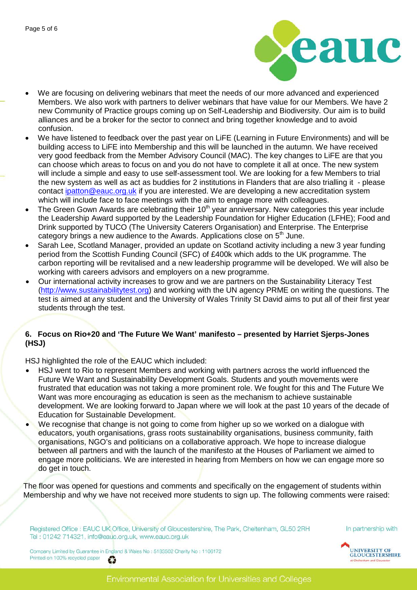

- We are focusing on delivering webinars that meet the needs of our more advanced and experienced Members. We also work with partners to deliver webinars that have value for our Members. We have 2 new Community of Practice groups coming up on Self-Leadership and Biodiversity. Our aim is to build alliances and be a broker for the sector to connect and bring together knowledge and to avoid confusion.
- We have listened to feedback over the past year on LiFE (Learning in Future Environments) and will be building access to LiFE into Membership and this will be launched in the autumn. We have received very good feedback from the Member Advisory Council (MAC). The key changes to LiFE are that you can choose which areas to focus on and you do not have to complete it all at once. The new system will include a simple and easy to use self-assessment tool. We are looking for a few Members to trial the new system as well as act as buddies for 2 institutions in Flanders that are also trialling it - please contact *ipatton@eauc.org.uk* if you are interested. We are developing a new accreditation system which will include face to face meetings with the aim to engage more with colleagues.
- The Green Gown Awards are celebrating their 10<sup>th</sup> year anniversary. New categories this year include the Leadership Award supported by the Leadership Foundation for Higher Education (LFHE); Food and Drink supported by TUCO (The University Caterers Organisation) and Enterprise. The Enterprise category brings a new audience to the Awards. Applications close on 5<sup>th</sup> June.
- Sarah Lee, Scotland Manager, provided an update on Scotland activity including a new 3 year funding period from the Scottish Funding Council (SFC) of £400k which adds to the UK programme. The carbon reporting will be revitalised and a new leadership programme will be developed. We will also be working with careers advisors and employers on a new programme.
- Our international activity increases to grow and we are partners on the Sustainability Literacy Test [\(http://www.sustainabilitytest.org\)](http://www.sustainabilitytest.org/) and working with the UN agency PRME on writing the questions. The test is aimed at any student and the University of Wales Trinity St David aims to put all of their first year students through the test.

# **6. Focus on Rio+20 and 'The Future We Want' manifesto – presented by Harriet Sjerps-Jones (HSJ)**

HSJ highlighted the role of the EAUC which included:

- HSJ went to Rio to represent Members and working with partners across the world influenced the Future We Want and Sustainability Development Goals. Students and youth movements were frustrated that education was not taking a more prominent role. We fought for this and The Future We Want was more encouraging as education is seen as the mechanism to achieve sustainable development. We are looking forward to Japan where we will look at the past 10 years of the decade of Education for Sustainable Development.
- We recognise that change is not going to come from higher up so we worked on a dialogue with educators, youth organisations, grass roots sustainability organisations, business community, faith organisations, NGO's and politicians on a collaborative approach. We hope to increase dialogue between all partners and with the launch of the manifesto at the Houses of Parliament we aimed to engage more politicians. We are interested in hearing from Members on how we can engage more so do get in touch.

The floor was opened for questions and comments and specifically on the engagement of students within Membership and why we have not received more students to sign up. The following comments were raised:

Registered Office : EAUC UK Office, University of Gloucestershire, The Park, Cheltenham, GL50 2RH Tel: 01242 714321, info@eauc.org.uk, www.eauc.org.uk

In partnership with

UNIVERSITY OF<br>GLOUCESTERSHIRE